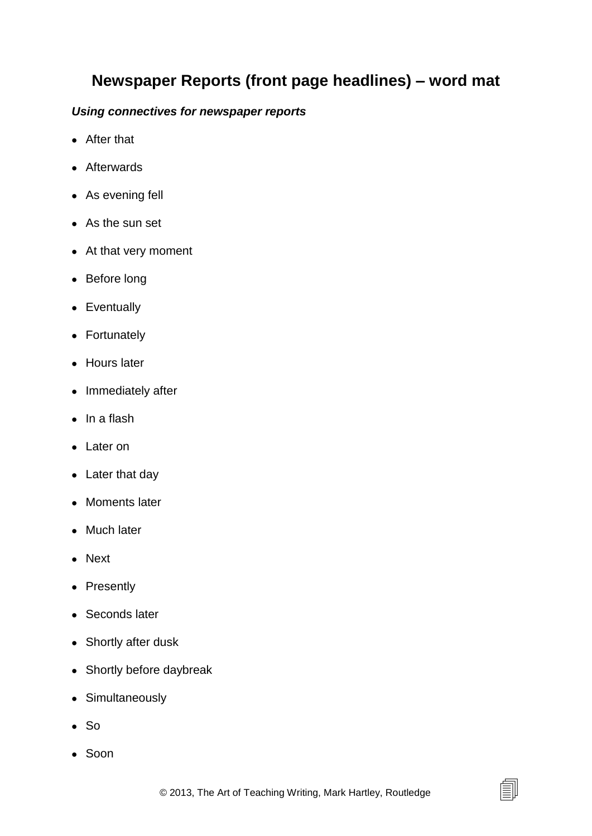## **Newspaper Reports (front page headlines) – word mat**

## *Using connectives for newspaper reports*

- After that
- Afterwards
- As evening fell
- As the sun set
- At that very moment
- Before long
- Eventually
- Fortunately
- Hours later
- Immediately after
- $\bullet$  In a flash
- Later on
- Later that day
- Moments later
- Much later
- Next
- Presently
- Seconds later
- Shortly after dusk
- Shortly before daybreak
- Simultaneously
- $\bullet$  So
- Soon